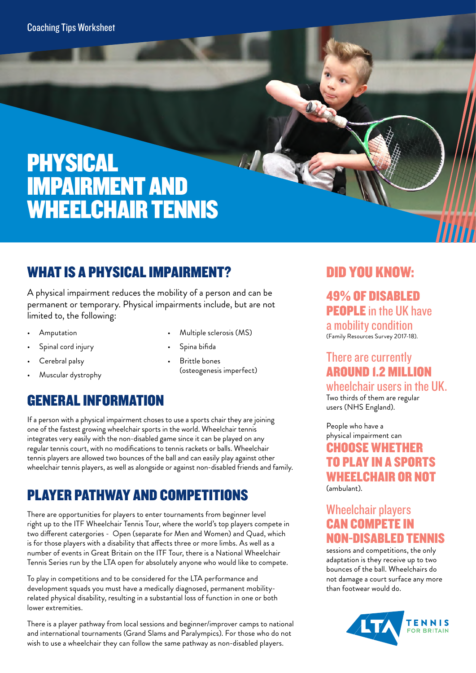# PHYSICAL IMPAIRMENT AND WHEELCHAIR TENNIS

## WHAT IS A PHYSICAL IMPAIRMENT?

A physical impairment reduces the mobility of a person and can be permanent or temporary. Physical impairments include, but are not limited to, the following:

- Amputation
- Spinal cord injury
- Cerebral palsy
- Muscular dystrophy

• Multiple sclerosis (MS)

ANS.

- Spina bifida
- Brittle bones (osteogenesis imperfect)

## GENERAL INFORMATION

If a person with a physical impairment choses to use a sports chair they are joining one of the fastest growing wheelchair sports in the world. Wheelchair tennis integrates very easily with the non-disabled game since it can be played on any regular tennis court, with no modifications to tennis rackets or balls. Wheelchair tennis players are allowed two bounces of the ball and can easily play against other wheelchair tennis players, as well as alongside or against non-disabled friends and family.

## PLAYER PATHWAY AND COMPETITIONS

There are opportunities for players to enter tournaments from beginner level right up to the ITF Wheelchair Tennis Tour, where the world's top players compete in two different catergories - Open (separate for Men and Women) and Quad, which is for those players with a disability that affects three or more limbs. As well as a number of events in Great Britain on the ITF Tour, there is a National Wheelchair Tennis Series run by the LTA open for absolutely anyone who would like to compete.

To play in competitions and to be considered for the LTA performance and development squads you must have a medically diagnosed, permanent mobilityrelated physical disability, resulting in a substantial loss of function in one or both lower extremities.

There is a player pathway from local sessions and beginner/improver camps to national and international tournaments (Grand Slams and Paralympics). For those who do not wish to use a wheelchair they can follow the same pathway as non-disabled players.

### DID YOU KNOW:

49% OF DISABLED PEOPLE in the UK have a mobility condition (Family Resources Survey 2017-18).

### There are currently AROUND 1.2 MILLION

wheelchair users in the UK. Two thirds of them are regular users (NHS England).

People who have a physical impairment can CHOOSE WHETHER TO PLAY IN A SPORTS WHEELCHAIR OR NOT

(ambulant).

#### Wheelchair players CAN COMPETE IN NON-DISABLED TENNIS

sessions and competitions, the only adaptation is they receive up to two bounces of the ball. Wheelchairs do not damage a court surface any more than footwear would do.